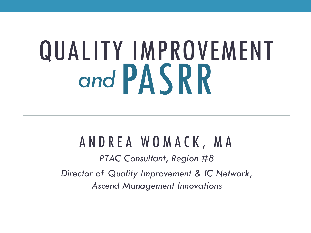# QUALITY IMPROVEMENT *and* PASRR

### A N D R E A W O M A C K , M A

*PTAC Consultant, Region #8 Director of Quality Improvement & IC Network, Ascend Management Innovations*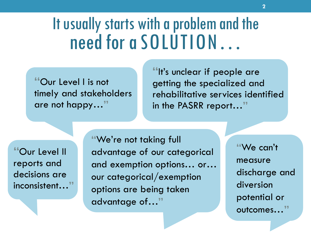#### It usually starts with a problem and the need for a SOLUTION…

**"**Our Level I is not timely and stakeholders are not happy…**"**

**"**It's unclear if people are getting the specialized and rehabilitative services identified in the PASRR report…**"**

**"**Our Level II reports and decisions are inconsistent…**"**

**"**We're not taking full advantage of our categorical and exemption options… or… our categorical/exemption options are being taken advantage of…**"**

**"**We can't measure discharge and diversion potential or outcomes…**"**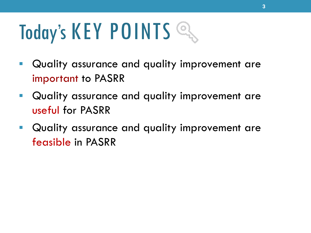## Today's KEY POINTS

- Quality assurance and quality improvement are important to PASRR
- Quality assurance and quality improvement are useful for PASRR
- Quality assurance and quality improvement are feasible in PASRR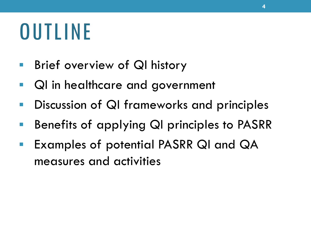### OUTLINE

- **Brief overview of QI history**
- QI in healthcare and government
- **Discussion of QI frameworks and principles**
- Benefits of applying QI principles to PASRR
- Examples of potential PASRR QI and QA measures and activities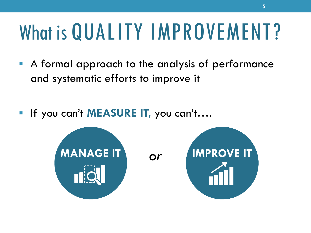#### What is QUALITY IMPROVEMENT?

- A formal approach to the analysis of performance and systematic efforts to improve it
- If you can't **MEASURE IT,** you can't….

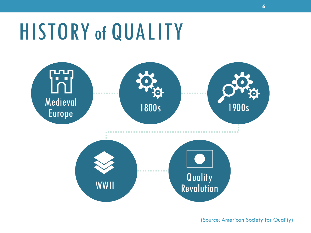### HISTORY of QUALITY



(Source: American Society for Quality)

**6**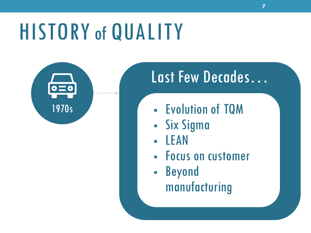### HISTORY of QUALITY



### Last Few Decades…

**7** 

- Evolution of TQM
- Six Sigma
- LEAN
- Focus on customer
- Beyond manufacturing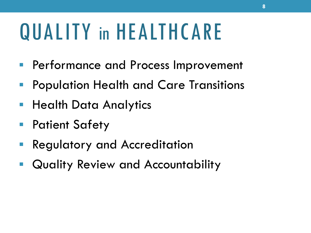### QUALITY in HEALTHCARE

- **Performance and Process Improvement**
- Population Health and Care Transitions
- **Health Data Analytics**
- Patient Safety
- Regulatory and Accreditation
- Quality Review and Accountability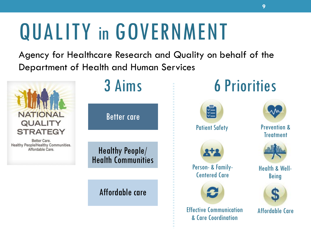### QUALITY in GOVERNMENT

Agency for Healthcare Research and Quality on behalf of the Department of Health and Human Services

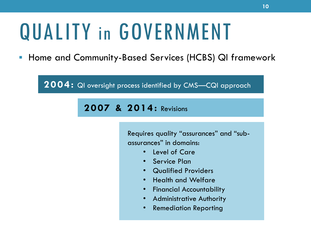### QUALITY in GOVERNMENT

• Home and Community-Based Services (HCBS) QI framework

**2004:** QI oversight process identified by CMS—CQI approach

 **2007 & 2014:** Revisions

Requires quality "assurances" and "subassurances" in domains:

- Level of Care
- Service Plan
- Qualified Providers
- Health and Welfare
- Financial Accountability
- Administrative Authority
- Remediation Reporting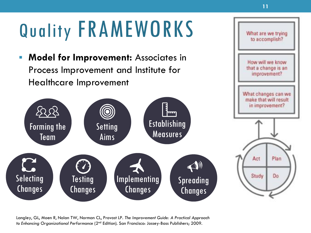### Quality FRAMEWORKS

• **Model for Improvement:** Associates in Process Improvement and Institute for Healthcare Improvement



 *to Enhancing Organizational Performance* (2nd Edition). San Francisco: Jossey-Bass Publishers; 2009. Langley, GL, Moen R, Nolan TW, Norman CL, Provost LP. *The Improvement Guide: A Practical Approach*  What are we trying to accomplish?

 $\overline{\phantom{a}}$ 

How will we know that a change is an improvement?

we make the will

What are we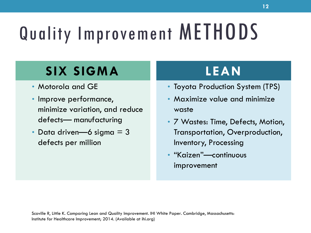### Quality Improvement METHODS

### **SIX SIGMA**

- Motorola and GE
- Improve performance, minimize variation, and reduce defects— manufacturing
- Data driven—6 sigma  $=$  3 defects per million

### **LEAN**

- Toyota Production System (TPS)
- Maximize value and minimize waste
- 7 Wastes: Time, Defects, Motion, Transportation, Overproduction, Inventory, Processing
- "Kaizen"—continuous improvement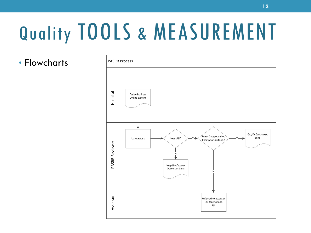•  $Flowcharts$   $|^{PASRR\,Process}$ 

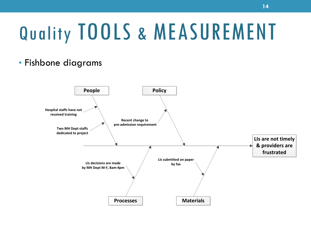#### • Fishbone diagrams

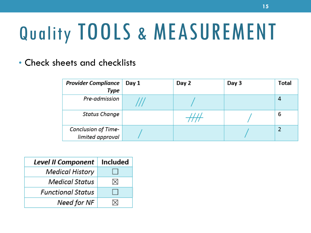• Check sheets and checklists

| <b>Provider Compliance</b>                     | Day 1 | Day 2 | Day 3 | <b>Total</b> |
|------------------------------------------------|-------|-------|-------|--------------|
| Type                                           |       |       |       |              |
| Pre-admission                                  |       |       |       | 4            |
| <b>Status Change</b>                           |       |       |       | 6            |
| <b>Conclusion of Time-</b><br>limited approval |       |       |       |              |

| <b>Level II Component</b> | <b>Included</b> |
|---------------------------|-----------------|
| Medical History           |                 |
| Medical Status            | ⋈               |
| <b>Functional Status</b>  |                 |
| Need for NF               |                 |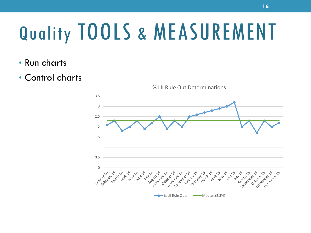- Run charts
- Control charts

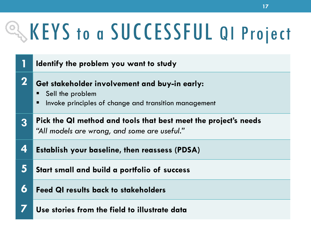## QKEYS to a SUCCESSFUL QI Project

|             | Identify the problem you want to study                                                                                          |
|-------------|---------------------------------------------------------------------------------------------------------------------------------|
| $\mathbf 2$ | Get stakeholder involvement and buy-in early:<br>Sell the problem<br>Invoke principles of change and transition management<br>п |
| 3           | Pick the QI method and tools that best meet the project's needs<br>"All models are wrong, and some are useful."                 |
| 4           | <b>Establish your baseline, then reassess (PDSA)</b>                                                                            |
| 5           | Start small and build a portfolio of success                                                                                    |
| 6           | <b>Feed QI results back to stakeholders</b>                                                                                     |
|             | Use stories from the field to illustrate data                                                                                   |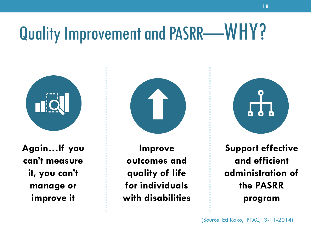### Quality Improvement and PASRR-WHY?



**Again…If you can't measure it, you can't manage or improve it** 

**Improve outcomes and quality of life for individuals with disabilities** 

**Support effective and efficient administration of the PASRR program** 

(Source: Ed Kako, PTAC, 3-11-2014)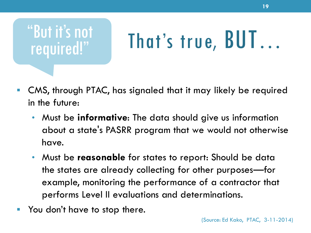

# That's true, BUT...

- CMS, through PTAC, has signaled that it may likely be required in the future:
	- Must be **informative**: The data should give us information about a state's PASRR program that we would not otherwise have.
	- Must be **reasonable** for states to report: Should be data the states are already collecting for other purposes—for example, monitoring the performance of a contractor that performs Level II evaluations and determinations.
- You don't have to stop there.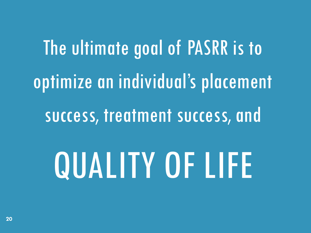# The ultimate goal of PASRR is to optimize an individual's placement success, treatment success, and QUALITY OF LIFE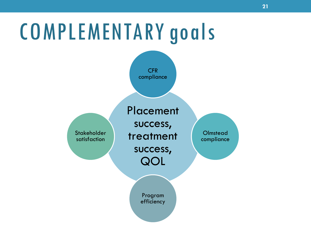### COMPLEMENTARY goals

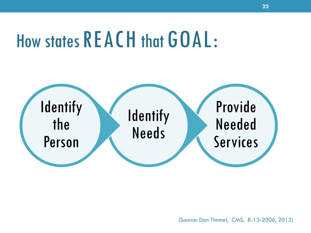### How states REACH that GOAL:



(Source: Dan Timmel, CMS, 8-13-2006, 2013)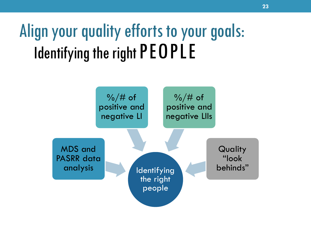### Align your quality efforts to your goals: Identifying the right PEOPLE

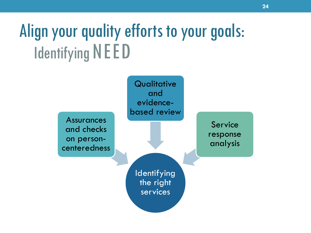### Align your quality efforts to your goals: Identifying NEED

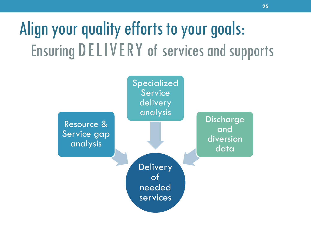### Align your quality efforts to your goals: Ensuring DELIVERY of services and supports

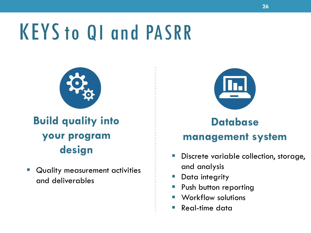### KEYS to QI and PASRR



#### **Build quality into your program design**

**• Quality measurement activities** and deliverables



#### **Database management system**

- **Discrete variable collection, storage,** and analysis
- **Data integrity**
- **Push button reporting**
- Workflow solutions
- Real-time data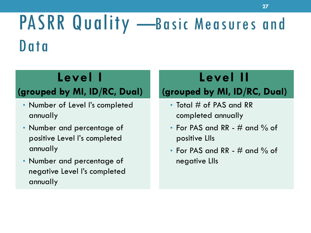#### PASRR Quality - Basic Measures and Data

#### Level 1

- Number of Level I's completed Total # of PAS and RR annually completed annually
- positive Level I's completed positive LIIs
- Number and percentage of the negative LIIs negative Level I's completed annually

#### Level II

#### **(grouped by MI, ID/RC, Dual) (grouped by MI, ID/RC, Dual)**

- 
- Number and percentage of **•** For PAS and RR # and % of
	- annually For PAS and RR # and % of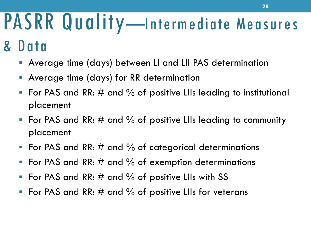# PASRR Quality-Intermediate Measures

### & Data

- Average time (days) between LI and LII PAS determination
- Average time (days) for RR determination
- For PAS and RR:  $\#$  and  $\%$  of positive LIIs leading to institutional placement
- For PAS and RR:  $\#$  and  $\%$  of positive LIIs leading to community placement
- For PAS and RR:  $\#$  and  $\%$  of categorical determinations
- For PAS and RR:  $#$  and  $%$  of exemption determinations
- For PAS and RR:  $\#$  and  $\%$  of positive LIIs with SS
- For PAS and RR:  $\#$  and  $\%$  of positive LIIs for veterans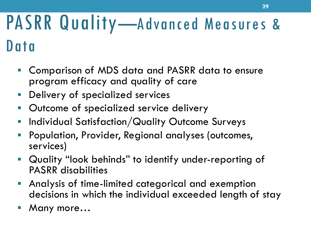### PASRR Quality—Advanced Measures & Data

- • Comparison of MDS data and PASRR data to ensure program efficacy and quality of care
- Delivery of specialized services
- **Outcome of specialized service delivery**
- **Individual Satisfaction/Quality Outcome Surveys**
- Population, Provider, Regional analyses (outcomes, services)
- • Quality "look behinds" to identify under-reporting of PASRR disabilities
- • Analysis of time-limited categorical and exemption decisions in which the individual exceeded length of stay
- Many more…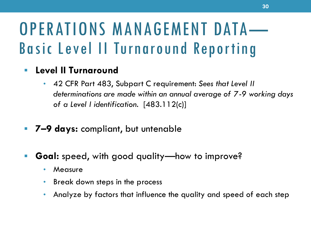# OPERATIONS MANAGEMENT DATA — Basic Level II Turnaround Reporting

#### • **Level II Turnaround**

- 42 CFR Part 483, Subpart C requirement: *Sees that Level II determinations are made within an annual average of 7-9 working days of a Level I identification.* [483.112(c)]
- **7–9 days:** compliant, but untenable
- **Goal:** speed, with good quality—how to improve?
	- Measure
	- Break down steps in the process
	- Analyze by factors that influence the quality and speed of each step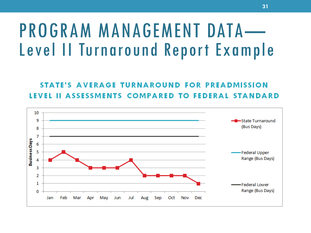# PROGRAM MANAGEMENT DATA— Level II Turnaround Report Example

#### STATE'S AVERAGE TURNAROUND FOR PREADMISSION **II ASSESSMENTS COMPARED TO FEDERAL STANDARD** LEVEL

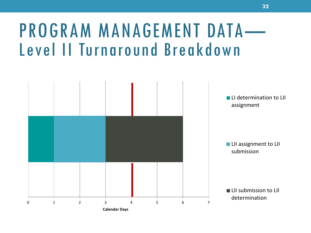# PROGRAM MANAGEMENT DATA— Level II Turnaround Breakdown

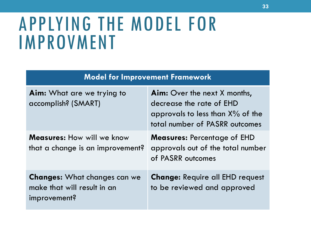#### APPLYING THE MODEL FOR IMPROVMENT

| <b>Model for Improvement Framework</b>                                             |                                                                                                                                          |  |
|------------------------------------------------------------------------------------|------------------------------------------------------------------------------------------------------------------------------------------|--|
| <b>Aim:</b> What are we trying to<br>accomplish? (SMART)                           | <b>Aim:</b> Over the next X months,<br>decrease the rate of EHD<br>approvals to less than $X\%$ of the<br>total number of PASRR outcomes |  |
| <b>Measures:</b> How will we know<br>that a change is an improvement?              | <b>Measures:</b> Percentage of EHD<br>approvals out of the total number<br>of PASRR outcomes                                             |  |
| <b>Changes:</b> What changes can we<br>make that will result in an<br>improvement? | <b>Change: Require all EHD request</b><br>to be reviewed and approved                                                                    |  |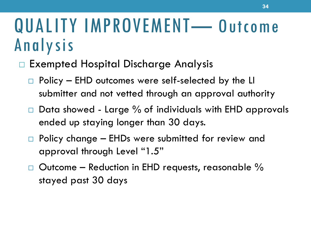### QUALITY IMPROVEMENT-0utcome Analysis

#### Exempted Hospital Discharge Analysis

- $\Box$  Policy EHD outcomes were self-selected by the LI submitter and not vetted through an approval authority
- $\Box$  Data showed Large  $\%$  of individuals with EHD approvals ended up staying longer than 30 days.
- ☐ Policy change EHDs were submitted for review and approval through Level "1.5"
- $\Box$  Outcome Reduction in EHD requests, reasonable  $\%$ stayed past 30 days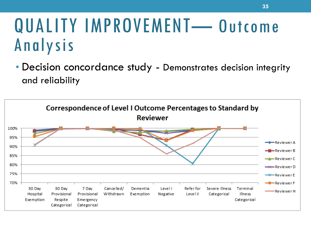### QUALITY IMPROVEMENT-Outcome Analysis

• Decision concordance study - Demonstrates decision integrity and reliability

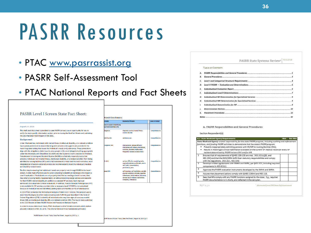### PASRR Resources

- PTAC [www.pasrrassist.org](http://www.pasrrassist.org/)
- PASRR Self-Assessment Tool
- PTAC National Reports and Fact Sheets

| <b>PASRR Level I Screen State Fact Sheet:</b>                                                                                                                                                                                                                                                                                                                                                                                                                                                                                                                                                                                                                                                                                                                                                                                                                                                                                                        | <b>R Level I Data Elemer</b>                            |
|------------------------------------------------------------------------------------------------------------------------------------------------------------------------------------------------------------------------------------------------------------------------------------------------------------------------------------------------------------------------------------------------------------------------------------------------------------------------------------------------------------------------------------------------------------------------------------------------------------------------------------------------------------------------------------------------------------------------------------------------------------------------------------------------------------------------------------------------------------------------------------------------------------------------------------------------------|---------------------------------------------------------|
|                                                                                                                                                                                                                                                                                                                                                                                                                                                                                                                                                                                                                                                                                                                                                                                                                                                                                                                                                      | ments                                                   |
| August 14, 2015                                                                                                                                                                                                                                                                                                                                                                                                                                                                                                                                                                                                                                                                                                                                                                                                                                                                                                                                      | ons to assist in identifyin<br>ported disabilities (MI) |
| This draft state fact sheet is provided to state PASRR contacts, as an opportunity for you to<br>verify the state-specific information section, prior to issuing the final fact Sheets and publishing<br>the 2015 National PASRR Report in fall 2015.                                                                                                                                                                                                                                                                                                                                                                                                                                                                                                                                                                                                                                                                                                | diagnosis                                               |
| <b>Background</b>                                                                                                                                                                                                                                                                                                                                                                                                                                                                                                                                                                                                                                                                                                                                                                                                                                                                                                                                    | red disorder                                            |
| Under Medicaid law, individuals with mental illness, intellectual disability, or a related condition<br>have special protections to ensure that long term services and supports are provided in the<br>most integrated setting that meets the individual's needs and preferences. These protections<br>align with the obligations states have to serve people in the most integrated setting appropriate<br>under the Americans with Disabilities Act (ADA) and the Supreme Court's decision in Olmstead.<br>Preadmission Screening and Resident Review (PASRR) is a federally required process that<br>prevents individuals with mental illness, intellectual disability, or a related condition from being<br>admitted to nursing facilities (NFs) until a full assessment is made and the least restrictive, most<br>integrated set of person-centered services are recommended to meet the individual's medical<br>and disability-related needs. | wmptoms (MI)<br>ks (MI)                                 |
| The first step in ensuring that individuals' needs are properly met through PASRR is the Level I<br>screen. A state must effectively use its Level I screening to identify all individuals who require a<br>Level II evaluation. If individuals are not properly identified as needing a Level II screen, they<br>may enter a nursing facility inappropriately, or without receiving special services and supports<br>for their PASRR-related disability (in addition to standard NF services). Such improper<br>admissions do a disservice to these individuals. In addition, Federal Financial Participation (FFP)                                                                                                                                                                                                                                                                                                                                 | ange (MI)                                               |

is not available for NF services provided when a necessary Level II PASRR is not completed. because an individual was not identified, putting states and facilities at risk of disallowance. In 2014 PTAC conducted the first national analysis of state Level I screens. The purpose was to determine the degree to which state screening tools fulfill the goal described in the Code of Federal Regulations (CFR): to identify all individuals who may have signs of a serious mental

illness (MI), an intellectual disability (ID), or a related condition (RC). The results were published in the 2014 Review of State PASRR Policies and Procedures National Report.

In order to review state Level I tools, PTAC developed a set of 14 data elements which capture plausible indicators of MI, ID, or RC. The criteria followed three fundamental principles:

PASRR Review of Level I Tools, State Fact Sheet | August 14, 2015 | p. 1

#### nte Keywords/Phrase **Level of Detail** diagnosis: serious mental ill Comprehensiv mental disorder substance use Comprehensive interpersonal: serious difficulty Comprehensive interacting with others: altercations evictions, unstable employment, frequently isolated, avoids others serious difficulty completing tasks, Comprehensive required assistance with tasks, error: with tasks: concentrationpersistence: pace self-injurious, self-mutilation, suicidal, Comprehensive physical violence or threats, appetite disturbance hallucinations delusion serious loss of interest, tearfulness. irritability, withdrawal

#### PASRR State Systems Review<sup>1</sup> V.1 2.27.10

#### TARLE OF CONTENTS

| В.           |  |
|--------------|--|
|              |  |
|              |  |
| E.           |  |
| F.           |  |
| G.           |  |
| н.           |  |
| L.           |  |
| $\mathbf{L}$ |  |
| К.           |  |
|              |  |
|              |  |

#### A. PASRR Responsibilities and General Procedures

#### Section Respondent(s):

|                                                                                                               | <b>A.1 State Medicaid Agency Requirements</b>                                                           | Met | <b>Not Met</b> |  |
|---------------------------------------------------------------------------------------------------------------|---------------------------------------------------------------------------------------------------------|-----|----------------|--|
| State Medicaid Agency: overall responsibility for the state PASRR program, including auditing and enforcement |                                                                                                         |     |                |  |
|                                                                                                               | functions, and funding PASRR activities to demonstrate that the state's PASRR program:                  |     |                |  |
|                                                                                                               | * Prevents inappropriately admitting persons with MI/MR to nursing facilities (NFs).                    |     |                |  |
|                                                                                                               | Results in meaningful clinical information available on the current NF medical record for every NF<br>٠ |     |                |  |
|                                                                                                               | resident determined by PASRR to have SMI and/or MR.                                                     |     |                |  |
| $\mathbf{1}$                                                                                                  | Ensures that all requirements of §§483.100-138 are met. [431.621(c)(8), and                             |     |                |  |
|                                                                                                               | 483.104] and that the SMH/MRA fulfill their statutory responsibilities and comply                       |     |                |  |
|                                                                                                               | with the regulations. [431.621, 483.104]                                                                |     |                |  |
| $\overline{2}$                                                                                                | Develops written agreements with SMHA and SMRA, per §431.621, including required                        |     |                |  |
|                                                                                                               | components in 483.621(c).                                                                               |     |                |  |
| з                                                                                                             | Approves the PASRR evaluation instruments developed by the SMHA and SMRA.                               |     |                |  |
| 4                                                                                                             | Assures that placement options comply with §§483.130(m) and 483.118.                                    |     |                |  |
| 5                                                                                                             | Sees that NFs comply with any PASRR functions assigned by the state. E.g., required                     |     |                |  |
|                                                                                                               | PASRR documentation is in charts, and reflected in the care plan.                                       |     |                |  |

 $1$ | Page

Abstracted from CMS State Self Assessment

SRR Review of Level I Tools, State Fact Sheet | August 14, 2015 |p. 5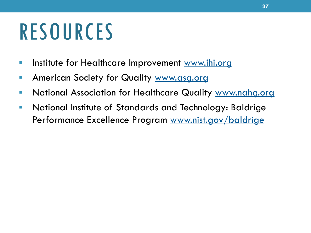### **RESOURCES**

- **Institute for Healthcare Improvement [www.ihi.org](http://www.ihi.org/)**
- **American Society for Quality [www.asg.org](http://www.asg.org/)**
- National Association for Healthcare Quality [www.nahg.org](http://www.nahg.org/)
- National Institute of Standards and Technology: Baldrige Performance Excellence Program [www.nist.gov/baldrige](http://www.nist.gov/baldrige)